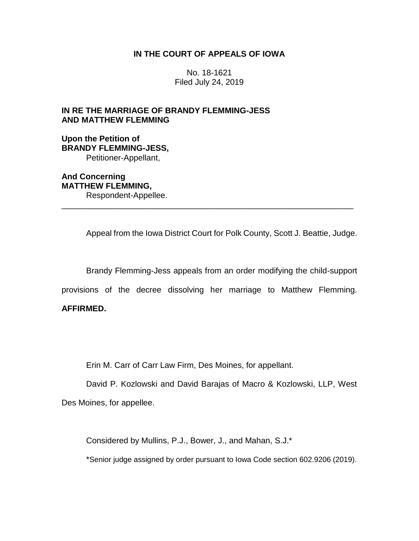# **IN THE COURT OF APPEALS OF IOWA**

No. 18-1621 Filed July 24, 2019

# **IN RE THE MARRIAGE OF BRANDY FLEMMING-JESS AND MATTHEW FLEMMING**

**Upon the Petition of BRANDY FLEMMING-JESS,** Petitioner-Appellant,

**And Concerning MATTHEW FLEMMING,** Respondent-Appellee.

Appeal from the Iowa District Court for Polk County, Scott J. Beattie, Judge.

Brandy Flemming-Jess appeals from an order modifying the child-support

provisions of the decree dissolving her marriage to Matthew Flemming.

\_\_\_\_\_\_\_\_\_\_\_\_\_\_\_\_\_\_\_\_\_\_\_\_\_\_\_\_\_\_\_\_\_\_\_\_\_\_\_\_\_\_\_\_\_\_\_\_\_\_\_\_\_\_\_\_\_\_\_\_\_\_\_\_

# **AFFIRMED.**

Erin M. Carr of Carr Law Firm, Des Moines, for appellant.

David P. Kozlowski and David Barajas of Macro & Kozlowski, LLP, West

Des Moines, for appellee.

Considered by Mullins, P.J., Bower, J., and Mahan, S.J.\*

\*Senior judge assigned by order pursuant to Iowa Code section 602.9206 (2019).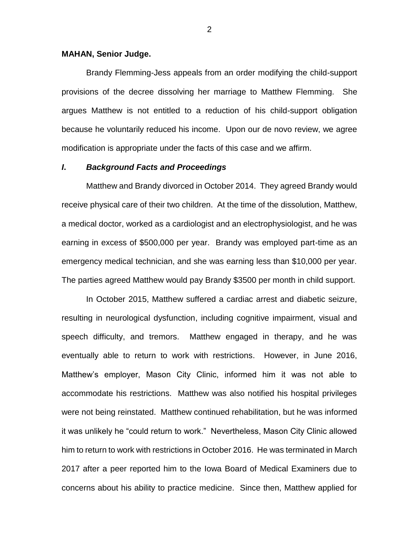#### **MAHAN, Senior Judge.**

Brandy Flemming-Jess appeals from an order modifying the child-support provisions of the decree dissolving her marriage to Matthew Flemming. She argues Matthew is not entitled to a reduction of his child-support obligation because he voluntarily reduced his income. Upon our de novo review, we agree modification is appropriate under the facts of this case and we affirm.

### *I***.** *Background Facts and Proceedings*

Matthew and Brandy divorced in October 2014. They agreed Brandy would receive physical care of their two children. At the time of the dissolution, Matthew, a medical doctor, worked as a cardiologist and an electrophysiologist, and he was earning in excess of \$500,000 per year. Brandy was employed part-time as an emergency medical technician, and she was earning less than \$10,000 per year. The parties agreed Matthew would pay Brandy \$3500 per month in child support.

In October 2015, Matthew suffered a cardiac arrest and diabetic seizure, resulting in neurological dysfunction, including cognitive impairment, visual and speech difficulty, and tremors. Matthew engaged in therapy, and he was eventually able to return to work with restrictions. However, in June 2016, Matthew's employer, Mason City Clinic, informed him it was not able to accommodate his restrictions. Matthew was also notified his hospital privileges were not being reinstated. Matthew continued rehabilitation, but he was informed it was unlikely he "could return to work." Nevertheless, Mason City Clinic allowed him to return to work with restrictions in October 2016. He was terminated in March 2017 after a peer reported him to the Iowa Board of Medical Examiners due to concerns about his ability to practice medicine. Since then, Matthew applied for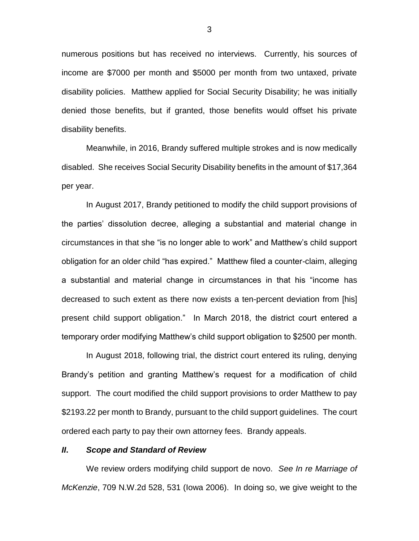numerous positions but has received no interviews. Currently, his sources of income are \$7000 per month and \$5000 per month from two untaxed, private disability policies. Matthew applied for Social Security Disability; he was initially denied those benefits, but if granted, those benefits would offset his private disability benefits.

Meanwhile, in 2016, Brandy suffered multiple strokes and is now medically disabled. She receives Social Security Disability benefits in the amount of \$17,364 per year.

In August 2017, Brandy petitioned to modify the child support provisions of the parties' dissolution decree, alleging a substantial and material change in circumstances in that she "is no longer able to work" and Matthew's child support obligation for an older child "has expired." Matthew filed a counter-claim, alleging a substantial and material change in circumstances in that his "income has decreased to such extent as there now exists a ten-percent deviation from [his] present child support obligation." In March 2018, the district court entered a temporary order modifying Matthew's child support obligation to \$2500 per month.

In August 2018, following trial, the district court entered its ruling, denying Brandy's petition and granting Matthew's request for a modification of child support. The court modified the child support provisions to order Matthew to pay \$2193.22 per month to Brandy, pursuant to the child support guidelines. The court ordered each party to pay their own attorney fees. Brandy appeals.

### *II***.** *Scope and Standard of Review*

We review orders modifying child support de novo. *See In re Marriage of McKenzie*, 709 N.W.2d 528, 531 (Iowa 2006). In doing so, we give weight to the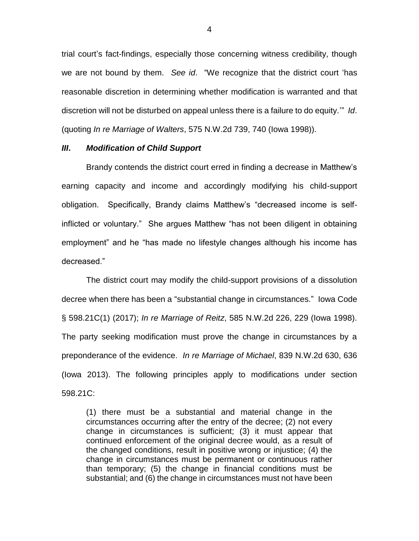trial court's fact-findings, especially those concerning witness credibility, though we are not bound by them. *See id*. "We recognize that the district court 'has reasonable discretion in determining whether modification is warranted and that discretion will not be disturbed on appeal unless there is a failure to do equity.'" *Id*. (quoting *In re Marriage of Walters*, 575 N.W.2d 739, 740 (Iowa 1998)).

#### *III***.** *Modification of Child Support*

Brandy contends the district court erred in finding a decrease in Matthew's earning capacity and income and accordingly modifying his child-support obligation. Specifically, Brandy claims Matthew's "decreased income is selfinflicted or voluntary." She argues Matthew "has not been diligent in obtaining employment" and he "has made no lifestyle changes although his income has decreased."

The district court may modify the child-support provisions of a dissolution decree when there has been a "substantial change in circumstances." Iowa Code § 598.21C(1) (2017); *In re Marriage of Reitz*, 585 N.W.2d 226, 229 (Iowa 1998). The party seeking modification must prove the change in circumstances by a preponderance of the evidence. *In re Marriage of Michael*, 839 N.W.2d 630, 636 (Iowa 2013). The following principles apply to modifications under section 598.21C:

(1) there must be a substantial and material change in the circumstances occurring after the entry of the decree; (2) not every change in circumstances is sufficient; (3) it must appear that continued enforcement of the original decree would, as a result of the changed conditions, result in positive wrong or injustice; (4) the change in circumstances must be permanent or continuous rather than temporary; (5) the change in financial conditions must be substantial; and (6) the change in circumstances must not have been

4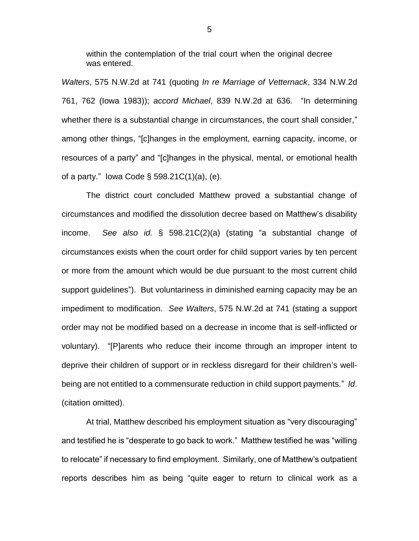within the contemplation of the trial court when the original decree was entered.

*Walters*, 575 N.W.2d at 741 (quoting *In re Marriage of Vetternack*, 334 N.W.2d 761, 762 (Iowa 1983)); *accord Michael*, 839 N.W.2d at 636. "In determining whether there is a substantial change in circumstances, the court shall consider," among other things, "[c]hanges in the employment, earning capacity, income, or resources of a party" and "[c]hanges in the physical, mental, or emotional health of a party." Iowa Code  $\S$  598.21C(1)(a), (e).

The district court concluded Matthew proved a substantial change of circumstances and modified the dissolution decree based on Matthew's disability income. *See also id.* § 598.21C(2)(a) (stating "a substantial change of circumstances exists when the court order for child support varies by ten percent or more from the amount which would be due pursuant to the most current child support guidelines"). But voluntariness in diminished earning capacity may be an impediment to modification. *See Walters*, 575 N.W.2d at 741 (stating a support order may not be modified based on a decrease in income that is self-inflicted or voluntary). "[P]arents who reduce their income through an improper intent to deprive their children of support or in reckless disregard for their children's wellbeing are not entitled to a commensurate reduction in child support payments." *Id*. (citation omitted).

At trial, Matthew described his employment situation as "very discouraging" and testified he is "desperate to go back to work." Matthew testified he was "willing to relocate" if necessary to find employment. Similarly, one of Matthew's outpatient reports describes him as being "quite eager to return to clinical work as a

5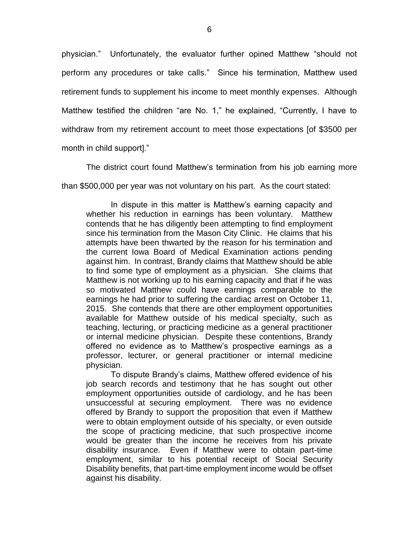physician." Unfortunately, the evaluator further opined Matthew "should not perform any procedures or take calls." Since his termination, Matthew used retirement funds to supplement his income to meet monthly expenses. Although Matthew testified the children "are No. 1," he explained, "Currently, I have to withdraw from my retirement account to meet those expectations [of \$3500 per month in child support]."

The district court found Matthew's termination from his job earning more than \$500,000 per year was not voluntary on his part. As the court stated:

In dispute in this matter is Matthew's earning capacity and whether his reduction in earnings has been voluntary. Matthew contends that he has diligently been attempting to find employment since his termination from the Mason City Clinic. He claims that his attempts have been thwarted by the reason for his termination and the current Iowa Board of Medical Examination actions pending against him. In contrast, Brandy claims that Matthew should be able to find some type of employment as a physician. She claims that Matthew is not working up to his earning capacity and that if he was so motivated Matthew could have earnings comparable to the earnings he had prior to suffering the cardiac arrest on October 11, 2015. She contends that there are other employment opportunities available for Matthew outside of his medical specialty, such as teaching, lecturing, or practicing medicine as a general practitioner or internal medicine physician. Despite these contentions, Brandy offered no evidence as to Matthew's prospective earnings as a professor, lecturer, or general practitioner or internal medicine physician.

To dispute Brandy's claims, Matthew offered evidence of his job search records and testimony that he has sought out other employment opportunities outside of cardiology, and he has been unsuccessful at securing employment. There was no evidence offered by Brandy to support the proposition that even if Matthew were to obtain employment outside of his specialty, or even outside the scope of practicing medicine, that such prospective income would be greater than the income he receives from his private disability insurance. Even if Matthew were to obtain part-time employment, similar to his potential receipt of Social Security Disability benefits, that part-time employment income would be offset against his disability.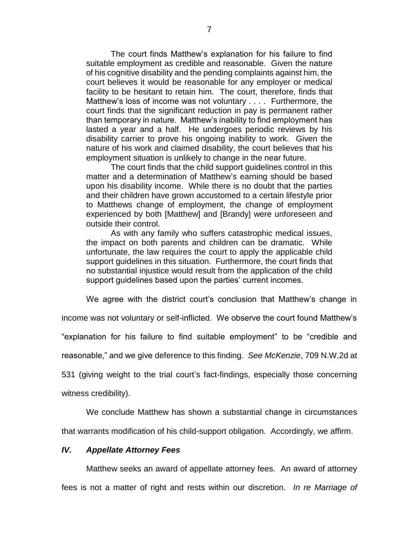The court finds Matthew's explanation for his failure to find suitable employment as credible and reasonable. Given the nature of his cognitive disability and the pending complaints against him, the court believes it would be reasonable for any employer or medical facility to be hesitant to retain him. The court, therefore, finds that Matthew's loss of income was not voluntary . . . . Furthermore, the court finds that the significant reduction in pay is permanent rather than temporary in nature. Matthew's inability to find employment has lasted a year and a half. He undergoes periodic reviews by his disability carrier to prove his ongoing inability to work. Given the nature of his work and claimed disability, the court believes that his employment situation is unlikely to change in the near future.

The court finds that the child support guidelines control in this matter and a determination of Matthew's earning should be based upon his disability income. While there is no doubt that the parties and their children have grown accustomed to a certain lifestyle prior to Matthews change of employment, the change of employment experienced by both [Matthew] and [Brandy] were unforeseen and outside their control.

As with any family who suffers catastrophic medical issues, the impact on both parents and children can be dramatic. While unfortunate, the law requires the court to apply the applicable child support guidelines in this situation. Furthermore, the court finds that no substantial injustice would result from the application of the child support guidelines based upon the parties' current incomes.

We agree with the district court's conclusion that Matthew's change in

income was not voluntary or self-inflicted. We observe the court found Matthew's

"explanation for his failure to find suitable employment" to be "credible and

reasonable," and we give deference to this finding. *See McKenzie*, 709 N.W.2d at

531 (giving weight to the trial court's fact-findings, especially those concerning

witness credibility).

We conclude Matthew has shown a substantial change in circumstances

that warrants modification of his child-support obligation. Accordingly, we affirm.

### *IV. Appellate Attorney Fees*

Matthew seeks an award of appellate attorney fees. An award of attorney fees is not a matter of right and rests within our discretion. *In re Marriage of*